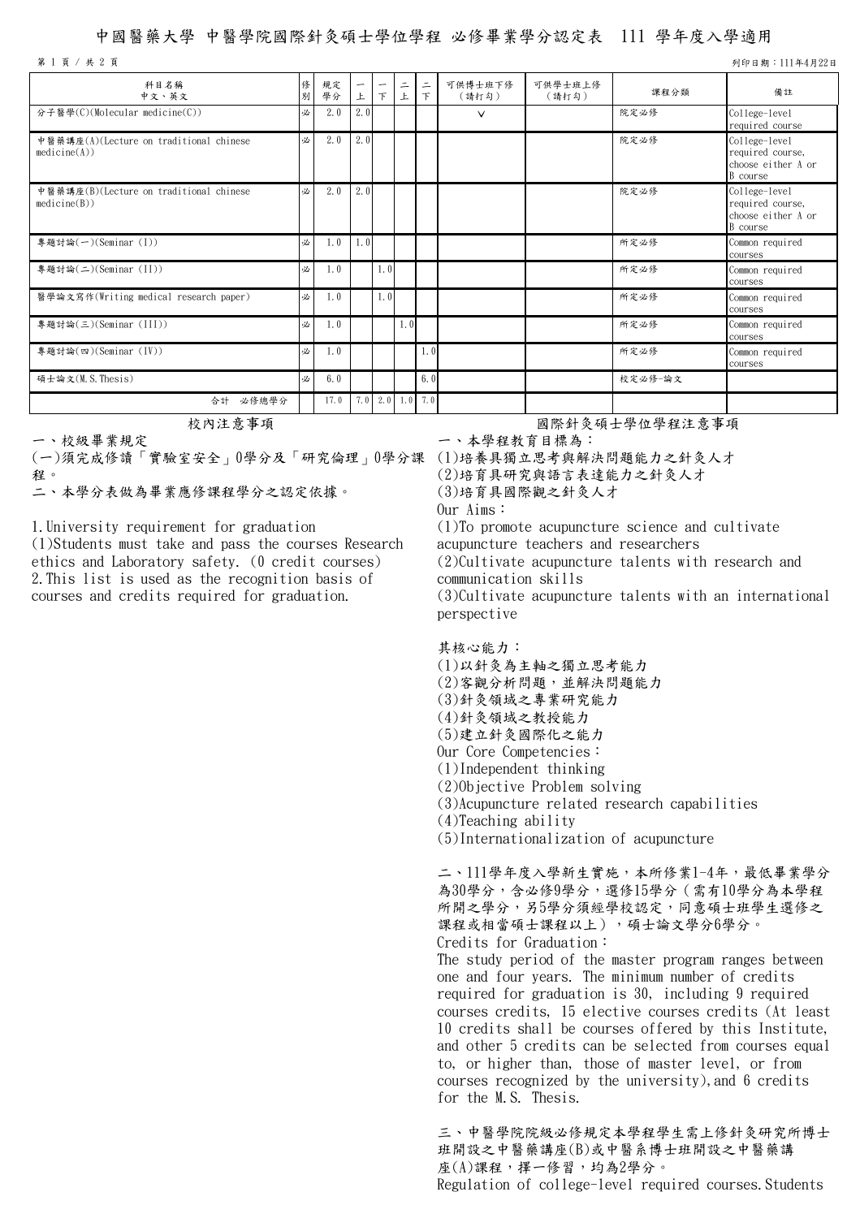## 中國醫藥大學 中醫學院國際針灸碩士學位學程 必修畢業學分認定表 111 學年度入學適用

第 1 頁 / 共 2 頁 列印日期:111年4月22日

| 科目名稱<br>中文、英文                                           | 俢<br>別 | 規定<br>學分 | -<br>上 | 下                 | $\equiv$<br>上 | $\equiv$<br>$\top$ | 可供博士班下修<br>(請打勾) | 可供學士班上修<br>(請打勾) | 課程分類    | 備註                                                                  |
|---------------------------------------------------------|--------|----------|--------|-------------------|---------------|--------------------|------------------|------------------|---------|---------------------------------------------------------------------|
| 分子醫學(C)(Molecular medicine(C))                          | 必      | 2.0      | 2.0    |                   |               |                    | $\vee$           |                  | 院定必修    | College-level<br>required course                                    |
| 中醫藥講座(A)(Lecture on traditional chinese<br>medicine(A)) | 必      | 2.0      | 2.0    |                   |               |                    |                  |                  | 院定必修    | College-level<br>required course,<br>choose either A or<br>B course |
| 中醫藥講座(B)(Lecture on traditional chinese<br>medicine(B)) | 必      | 2.0      | 2.0    |                   |               |                    |                  |                  | 院定必修    | College-level<br>required course,<br>choose either A or<br>B course |
| 專題討論(一)(Seminar (I))                                    | 必      | 1.0      | 1.0    |                   |               |                    |                  |                  | 所定必修    | Common required<br>courses                                          |
| 專題討論(二)(Seminar (II))                                   | 必      | 1.0      |        | 1.0 <sub>l</sub>  |               |                    |                  |                  | 所定必修    | Common required<br>courses                                          |
| 醫學論文寫作(Writing medical research paper)                  | 必      | 1.0      |        | 1.0               |               |                    |                  |                  | 所定必修    | Common required<br>courses                                          |
| 專題討論(三)(Seminar (III))                                  | 必      | 1.0      |        |                   | 1.0           |                    |                  |                  | 所定必修    | Common required<br>courses                                          |
| 專題討論(四)(Seminar (IV))                                   | 必      | 1.0      |        |                   |               | 1.0                |                  |                  | 所定必修    | Common required<br>courses                                          |
| 碩士論文(M.S.Thesis)                                        | 必      | 6.0      |        |                   |               | 6.0                |                  |                  | 校定必修-論文 |                                                                     |
| 必修總學分<br>合計                                             |        | 17.0     |        | $7.0$ 2.0 1.0 7.0 |               |                    |                  |                  |         |                                                                     |

一、校級畢業規定

(一)須完成修讀「實驗室安全」0學分及「研究倫理」0學分課 (1)培養具獨立思考與解決問題能力之針灸人才

程。二、本學分表做為畢業應修課程學分之認定依據。

1.University requirement for graduation

(1)Students must take and pass the courses Research ethics and Laboratory safety. (0 credit courses) 2.This list is used as the recognition basis of courses and credits required for graduation.

校內注意事項 初生的 医神经性脑炎 医肾上腺素 医假生学位学程注意事項

一、本學程教育目標為:

(2)培育具研究與語言表達能力之針灸人才

(3)培育具國際觀之針灸人才

Our Aims:

(1)To promote acupuncture science and cultivate acupuncture teachers and researchers (2)Cultivate acupuncture talents with research and communication skills (3)Cultivate acupuncture talents with an international perspective

其核心能力:

- (1)以針灸為主軸之獨立思考能力
- (2)客觀分析問題,並解決問題能力
- (3)針灸領域之專業研究能力
- (4)針灸領域之教授能力
- (5)建立針灸國際化之能力
- Our Core Competencies:
- (1)Independent thinking (2)Objective Problem solving
- (3)Acupuncture related research capabilities
- (4)Teaching ability

for the M.S. Thesis.

(5)Internationalization of acupuncture

二、111學年度入學新生實施,本所修業1-4年,最低畢業學分 為30學分,含必修9學分,選修15學分(需有10學分為本學程 所開之學分,另5學分須經學校認定,同意碩士班學生選修之 課程或相當碩士課程以上),碩士論文學分6學分。 Credits for Graduation: The study period of the master program ranges between one and four years. The minimum number of credits required for graduation is 30, including 9 required courses credits, 15 elective courses credits (At least 10 credits shall be courses offered by this Institute, and other 5 credits can be selected from courses equal to, or higher than, those of master level, or from courses recognized by the university),and 6 credits

三、中醫學院院級必修規定本學程學生需上修針灸研究所博士 班開設之中醫藥講座(B)或中醫系博士班開設之中醫藥講 座(A)課程,擇一修習,均為2學分。 Regulation of college-level required courses.Students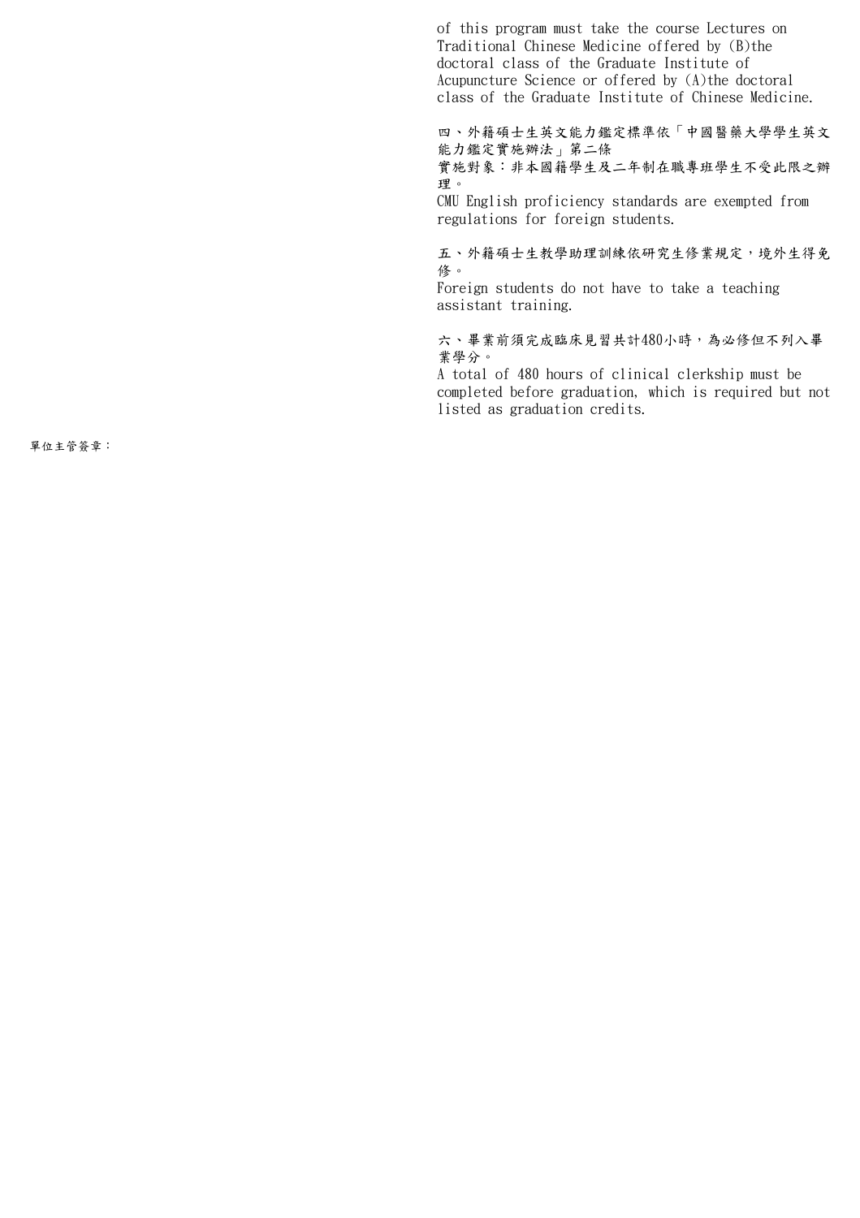of this program must take the course Lectures on Traditional Chinese Medicine offered by (B)the doctoral class of the Graduate Institute of Acupuncture Science or offered by (A)the doctoral class of the Graduate Institute of Chinese Medicine.

四、外籍碩士生英文能力鑑定標準依「中國醫藥大學學生英文 能力鑑定實施辦法」第二條

實施對象:非本國籍學生及二年制在職專班學生不受此限之辦 理。

CMU English proficiency standards are exempted from regulations for foreign students.

五、外籍碩士生教學助理訓練依研究生修業規定,境外生得免 修。

Foreign students do not have to take a teaching assistant training.

六、畢業前須完成臨床見習共計480小時,為必修但不列入畢 業學分。

A total of 480 hours of clinical clerkship must be completed before graduation, which is required but not listed as graduation credits.

單位主管簽章: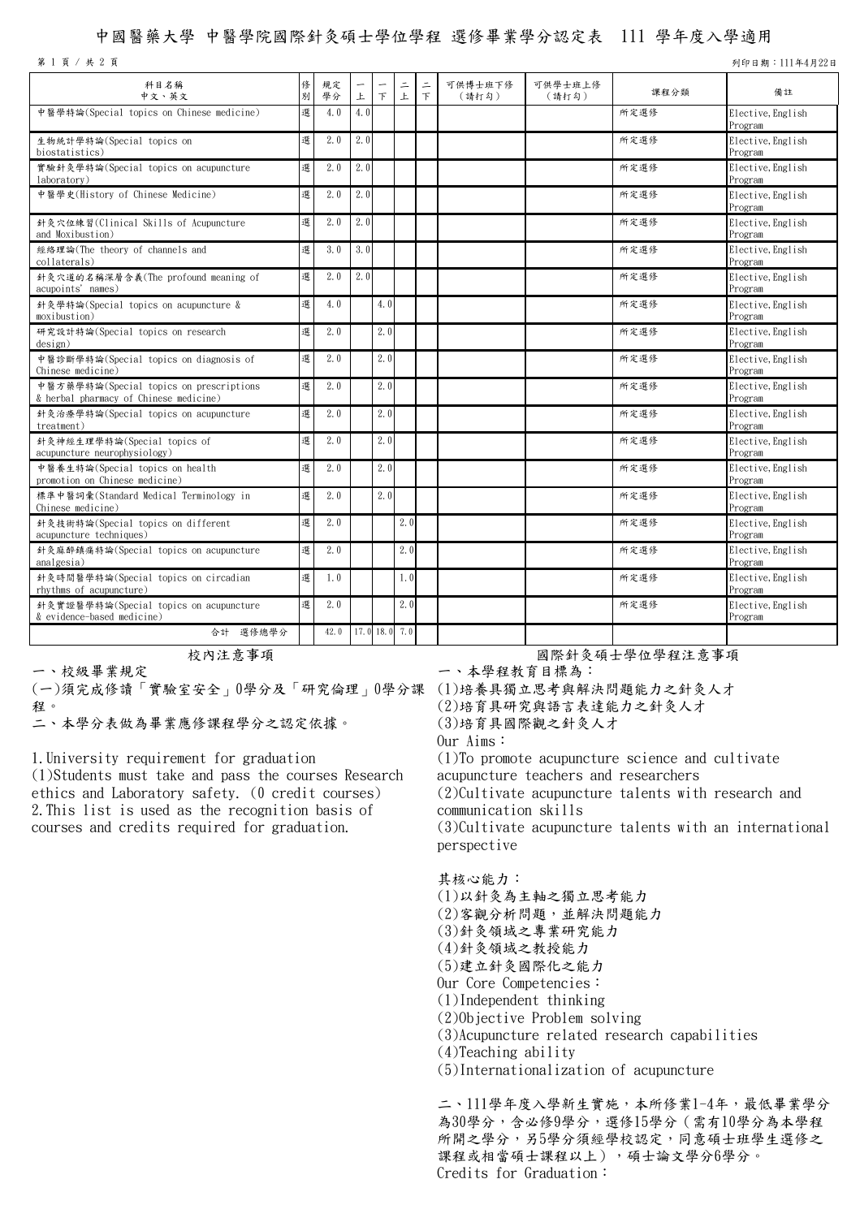## 中國醫藥大學 中醫學院國際針灸碩士學位學程 選修畢業學分認定表 111 學年度入學適用

第 1 頁 / 共 2 頁 列印日期:111年4月22日

| 科目名稱<br>中文、英文                                                                     | 俢<br>別 | 規定<br>學分           | 上   | $\top$ | $\equiv$<br>上 | $\equiv$<br>$\top$ | 可供博士班下修<br>(請打勾) | 可供學士班上修<br>(請打勾) | 課程分類 | 備註                           |
|-----------------------------------------------------------------------------------|--------|--------------------|-----|--------|---------------|--------------------|------------------|------------------|------|------------------------------|
| 中醫學特論(Special topics on Chinese medicine)                                         | 選      | 4.0                | 4.0 |        |               |                    |                  |                  | 所定選修 | Elective, English<br>Program |
| 生物統計學特論(Special topics on<br>biostatistics)                                       | 選      | 2.0                | 2.0 |        |               |                    |                  |                  | 所定選修 | Elective, English<br>Program |
| 實驗針灸學特論(Special topics on acupuncture<br>laboratory)                              | 選      | 2.0                | 2.0 |        |               |                    |                  |                  | 所定選修 | Elective, English<br>Program |
| 中醫學史(History of Chinese Medicine)                                                 | 選      | 2.0                | 2.0 |        |               |                    |                  |                  | 所定選修 | Elective, English<br>Program |
| 針灸穴位練習(Clinical Skills of Acupuncture<br>and Moxibustion)                         | 選      | 2.0                | 2.0 |        |               |                    |                  |                  | 所定選修 | Elective, English<br>Program |
| 經絡理論(The theory of channels and<br>collaterals)                                   | 選      | 3.0                | 3.0 |        |               |                    |                  |                  | 所定選修 | Elective, English<br>Program |
| 針灸穴道的名稱深層含義(The profound meaning of<br>acupoints' names)                          | 選      | 2.0                | 2.0 |        |               |                    |                  |                  | 所定選修 | Elective, English<br>Program |
| 針灸學特論(Special topics on acupuncture &<br>moxibustion)                             | 選      | 4.0                |     | 4.0    |               |                    |                  |                  | 所定選修 | Elective, English<br>Program |
| 研究設計特論(Special topics on research<br>design)                                      | 選      | 2.0                |     | 2.0    |               |                    |                  |                  | 所定選修 | Elective, English<br>Program |
| 中醫診斷學特論(Special topics on diagnosis of<br>Chinese medicine)                       | 選      | 2.0                |     | 2.0    |               |                    |                  |                  | 所定選修 | Elective, English<br>Program |
| 中醫方藥學特論(Special topics on prescriptions<br>& herbal pharmacy of Chinese medicine) | 選      | 2.0                |     | 2.0    |               |                    |                  |                  | 所定選修 | Elective, English<br>Program |
| 針灸治療學特論(Special topics on acupuncture<br>treatment)                               | 選      | 2.0                |     | 2.0    |               |                    |                  |                  | 所定選修 | Elective, English<br>Program |
| 針灸神經生理學特論(Special topics of<br>acupuncture neurophysiology)                       | 選      | 2.0                |     | 2.0    |               |                    |                  |                  | 所定選修 | Elective, English<br>Program |
| 中醫養生特論(Special topics on health<br>promotion on Chinese medicine)                 | 選      | 2.0                |     | 2.0    |               |                    |                  |                  | 所定選修 | Elective, English<br>Program |
| 標準中醫詞彙(Standard Medical Terminology in<br>Chinese medicine)                       | 選      | 2.0                |     | 2.0    |               |                    |                  |                  | 所定選修 | Elective, English<br>Program |
| 針灸技術特論(Special topics on different<br>acupuncture techniques)                     | 選      | 2.0                |     |        | 2.0           |                    |                  |                  | 所定選修 | Elective, English<br>Program |
| 針灸麻醉鎮痛特論(Special topics on acupuncture<br>analgesia)                              | 選      | 2.0                |     |        | 2.0           |                    |                  |                  | 所定選修 | Elective, English<br>Program |
| 針灸時間醫學特論(Special topics on circadian<br>rhythms of acupuncture)                   | 選      | 1.0                |     |        | 1.0           |                    |                  |                  | 所定選修 | Elective, English<br>Program |
| 針灸實證醫學特論(Special topics on acupuncture<br>& evidence-based medicine)              | 選      | 2.0                |     |        | 2.0           |                    |                  |                  | 所定選修 | Elective, English<br>Program |
| 合計 選修總學分                                                                          |        | 42.0 17.0 18.0 7.0 |     |        |               |                    |                  |                  |      |                              |

一、校級畢業規定

(一)須完成修讀「實驗室安全」0學分及「研究倫理」0學分課 (1)培養具獨立思考與解決問題能力之針灸人才

程。二、本學分表做為畢業應修課程學分之認定依據。

1.University requirement for graduation (1)Students must take and pass the courses Research ethics and Laboratory safety. (0 credit courses)

2.This list is used as the recognition basis of courses and credits required for graduation.

校內注意事項 初期 医二十二十二十二十一二十一 國際針灸碩士學位學程注意事項

一、本學程教育目標為:

(2)培育具研究與語言表達能力之針灸人才

(3)培育具國際觀之針灸人才

Our Aims:

(1)To promote acupuncture science and cultivate acupuncture teachers and researchers (2)Cultivate acupuncture talents with research and communication skills (3)Cultivate acupuncture talents with an international perspective

其核心能力:

- (1)以針灸為主軸之獨立思考能力
- (2)客觀分析問題,並解決問題能力
- (3)針灸領域之專業研究能力
- (4)針灸領域之教授能力
- (5)建立針灸國際化之能力
- Our Core Competencies:
- (1)Independent thinking
- (2)Objective Problem solving
- (3)Acupuncture related research capabilities
- (4)Teaching ability
- (5)Internationalization of acupuncture

二、111學年度入學新生實施,本所修業1-4年,最低畢業學分 為30學分,含必修9學分,選修15學分(需有10學分為本學程 所開之學分,另5學分須經學校認定,同意碩士班學生選修之 課程或相當碩士課程以上),碩士論文學分6學分。 Credits for Graduation: